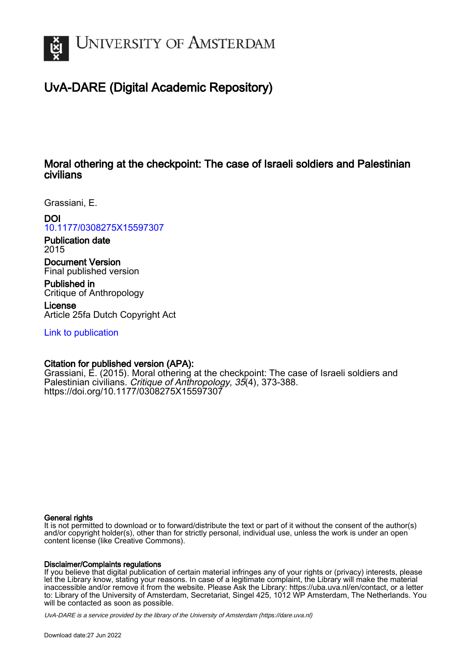

# UvA-DARE (Digital Academic Repository)

# Moral othering at the checkpoint: The case of Israeli soldiers and Palestinian civilians

Grassiani, E.

DOI

[10.1177/0308275X15597307](https://doi.org/10.1177/0308275X15597307)

Publication date 2015

Document Version Final published version

Published in Critique of Anthropology

License Article 25fa Dutch Copyright Act

[Link to publication](https://dare.uva.nl/personal/pure/en/publications/moral-othering-at-the-checkpoint-the-case-of-israeli-soldiers-and-palestinian-civilians(6dd9e8fa-0e49-429e-bb60-84af311ab88a).html)

# Citation for published version (APA):

Grassiani, E. (2015). Moral othering at the checkpoint: The case of Israeli soldiers and Palestinian civilians. Critique of Anthropology, 35(4), 373-388. <https://doi.org/10.1177/0308275X15597307>

#### General rights

It is not permitted to download or to forward/distribute the text or part of it without the consent of the author(s) and/or copyright holder(s), other than for strictly personal, individual use, unless the work is under an open content license (like Creative Commons).

### Disclaimer/Complaints regulations

If you believe that digital publication of certain material infringes any of your rights or (privacy) interests, please let the Library know, stating your reasons. In case of a legitimate complaint, the Library will make the material inaccessible and/or remove it from the website. Please Ask the Library: https://uba.uva.nl/en/contact, or a letter to: Library of the University of Amsterdam, Secretariat, Singel 425, 1012 WP Amsterdam, The Netherlands. You will be contacted as soon as possible.

UvA-DARE is a service provided by the library of the University of Amsterdam (http*s*://dare.uva.nl)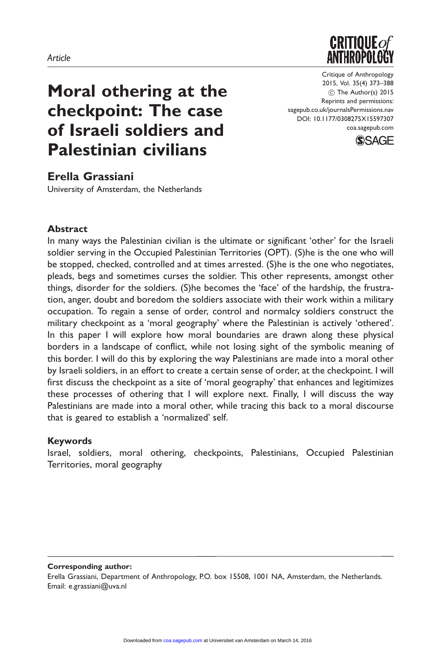

# Moral othering at the checkpoint: The case of Israeli soldiers and Palestinian civilians

Critique of Anthropology 2015, Vol. 35(4) 373–388 (C) The Author(s) 2015 Reprints and permissions: sagepub.co.uk/journalsPermissions.nav DOI: 10.1177/0308275X15597307 coa.sagepub.com



# Erella Grassiani

University of Amsterdam, the Netherlands

#### Abstract

In many ways the Palestinian civilian is the ultimate or significant 'other' for the Israeli soldier serving in the Occupied Palestinian Territories (OPT). (S)he is the one who will be stopped, checked, controlled and at times arrested. (S)he is the one who negotiates, pleads, begs and sometimes curses the soldier. This other represents, amongst other things, disorder for the soldiers. (S)he becomes the 'face' of the hardship, the frustration, anger, doubt and boredom the soldiers associate with their work within a military occupation. To regain a sense of order, control and normalcy soldiers construct the military checkpoint as a 'moral geography' where the Palestinian is actively 'othered'. In this paper I will explore how moral boundaries are drawn along these physical borders in a landscape of conflict, while not losing sight of the symbolic meaning of this border. I will do this by exploring the way Palestinians are made into a moral other by Israeli soldiers, in an effort to create a certain sense of order, at the checkpoint. I will first discuss the checkpoint as a site of 'moral geography' that enhances and legitimizes these processes of othering that I will explore next. Finally, I will discuss the way Palestinians are made into a moral other, while tracing this back to a moral discourse that is geared to establish a 'normalized' self.

#### Keywords

Israel, soldiers, moral othering, checkpoints, Palestinians, Occupied Palestinian Territories, moral geography

#### Corresponding author:

Erella Grassiani, Department of Anthropology, P.O. box 15508, 1001 NA, Amsterdam, the Netherlands. Email: e.grassiani@uva.nl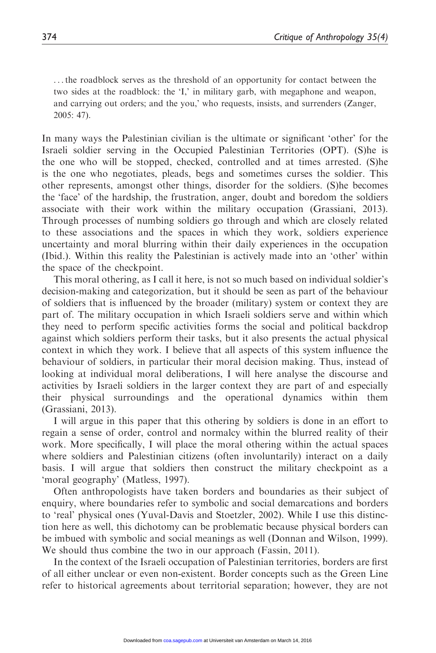...the roadblock serves as the threshold of an opportunity for contact between the two sides at the roadblock: the 'I,' in military garb, with megaphone and weapon, and carrying out orders; and the you,' who requests, insists, and surrenders (Zanger, 2005: 47).

In many ways the Palestinian civilian is the ultimate or significant 'other' for the Israeli soldier serving in the Occupied Palestinian Territories (OPT). (S)he is the one who will be stopped, checked, controlled and at times arrested. (S)he is the one who negotiates, pleads, begs and sometimes curses the soldier. This other represents, amongst other things, disorder for the soldiers. (S)he becomes the 'face' of the hardship, the frustration, anger, doubt and boredom the soldiers associate with their work within the military occupation (Grassiani, 2013). Through processes of numbing soldiers go through and which are closely related to these associations and the spaces in which they work, soldiers experience uncertainty and moral blurring within their daily experiences in the occupation (Ibid.). Within this reality the Palestinian is actively made into an 'other' within the space of the checkpoint.

This moral othering, as I call it here, is not so much based on individual soldier's decision-making and categorization, but it should be seen as part of the behaviour of soldiers that is influenced by the broader (military) system or context they are part of. The military occupation in which Israeli soldiers serve and within which they need to perform specific activities forms the social and political backdrop against which soldiers perform their tasks, but it also presents the actual physical context in which they work. I believe that all aspects of this system influence the behaviour of soldiers, in particular their moral decision making. Thus, instead of looking at individual moral deliberations, I will here analyse the discourse and activities by Israeli soldiers in the larger context they are part of and especially their physical surroundings and the operational dynamics within them (Grassiani, 2013).

I will argue in this paper that this othering by soldiers is done in an effort to regain a sense of order, control and normalcy within the blurred reality of their work. More specifically, I will place the moral othering within the actual spaces where soldiers and Palestinian citizens (often involuntarily) interact on a daily basis. I will argue that soldiers then construct the military checkpoint as a 'moral geography' (Matless, 1997).

Often anthropologists have taken borders and boundaries as their subject of enquiry, where boundaries refer to symbolic and social demarcations and borders to 'real' physical ones (Yuval-Davis and Stoetzler, 2002). While I use this distinction here as well, this dichotomy can be problematic because physical borders can be imbued with symbolic and social meanings as well (Donnan and Wilson, 1999). We should thus combine the two in our approach (Fassin, 2011).

In the context of the Israeli occupation of Palestinian territories, borders are first of all either unclear or even non-existent. Border concepts such as the Green Line refer to historical agreements about territorial separation; however, they are not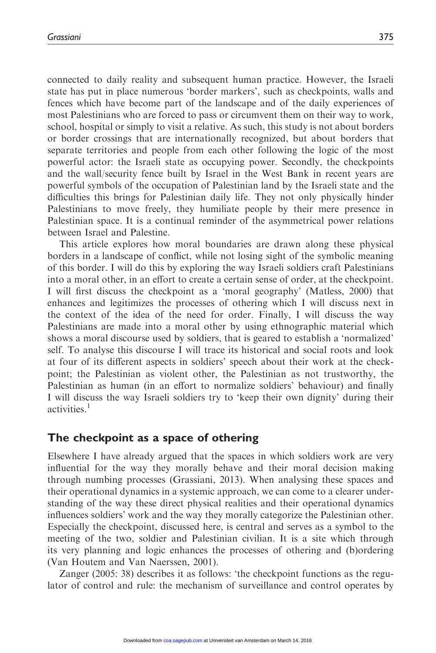connected to daily reality and subsequent human practice. However, the Israeli state has put in place numerous 'border markers', such as checkpoints, walls and fences which have become part of the landscape and of the daily experiences of most Palestinians who are forced to pass or circumvent them on their way to work, school, hospital or simply to visit a relative. As such, this study is not about borders or border crossings that are internationally recognized, but about borders that separate territories and people from each other following the logic of the most powerful actor: the Israeli state as occupying power. Secondly, the checkpoints and the wall/security fence built by Israel in the West Bank in recent years are powerful symbols of the occupation of Palestinian land by the Israeli state and the difficulties this brings for Palestinian daily life. They not only physically hinder Palestinians to move freely, they humiliate people by their mere presence in Palestinian space. It is a continual reminder of the asymmetrical power relations between Israel and Palestine.

This article explores how moral boundaries are drawn along these physical borders in a landscape of conflict, while not losing sight of the symbolic meaning of this border. I will do this by exploring the way Israeli soldiers craft Palestinians into a moral other, in an effort to create a certain sense of order, at the checkpoint. I will first discuss the checkpoint as a 'moral geography' (Matless, 2000) that enhances and legitimizes the processes of othering which I will discuss next in the context of the idea of the need for order. Finally, I will discuss the way Palestinians are made into a moral other by using ethnographic material which shows a moral discourse used by soldiers, that is geared to establish a 'normalized' self. To analyse this discourse I will trace its historical and social roots and look at four of its different aspects in soldiers' speech about their work at the checkpoint; the Palestinian as violent other, the Palestinian as not trustworthy, the Palestinian as human (in an effort to normalize soldiers' behaviour) and finally I will discuss the way Israeli soldiers try to 'keep their own dignity' during their activities.<sup>1</sup>

### The checkpoint as a space of othering

Elsewhere I have already argued that the spaces in which soldiers work are very influential for the way they morally behave and their moral decision making through numbing processes (Grassiani, 2013). When analysing these spaces and their operational dynamics in a systemic approach, we can come to a clearer understanding of the way these direct physical realities and their operational dynamics influences soldiers' work and the way they morally categorize the Palestinian other. Especially the checkpoint, discussed here, is central and serves as a symbol to the meeting of the two, soldier and Palestinian civilian. It is a site which through its very planning and logic enhances the processes of othering and (b)ordering (Van Houtem and Van Naerssen, 2001).

Zanger (2005: 38) describes it as follows: 'the checkpoint functions as the regulator of control and rule: the mechanism of surveillance and control operates by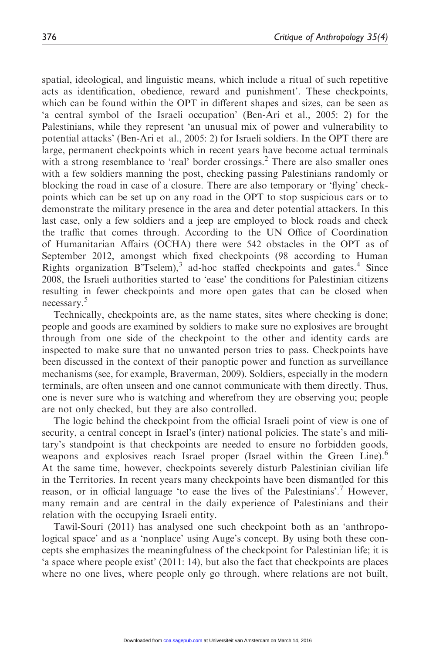spatial, ideological, and linguistic means, which include a ritual of such repetitive acts as identification, obedience, reward and punishment'. These checkpoints, which can be found within the OPT in different shapes and sizes, can be seen as 'a central symbol of the Israeli occupation' (Ben-Ari et al., 2005: 2) for the Palestinians, while they represent 'an unusual mix of power and vulnerability to potential attacks' (Ben-Ari et al., 2005: 2) for Israeli soldiers. In the OPT there are large, permanent checkpoints which in recent years have become actual terminals with a strong resemblance to 'real' border crossings.<sup>2</sup> There are also smaller ones with a few soldiers manning the post, checking passing Palestinians randomly or blocking the road in case of a closure. There are also temporary or 'flying' checkpoints which can be set up on any road in the OPT to stop suspicious cars or to demonstrate the military presence in the area and deter potential attackers. In this last case, only a few soldiers and a jeep are employed to block roads and check the traffic that comes through. According to the UN Office of Coordination of Humanitarian Affairs (OCHA) there were 542 obstacles in the OPT as of September 2012, amongst which fixed checkpoints (98 according to Human Rights organization B'Tselem), $3$  ad-hoc staffed checkpoints and gates.<sup>4</sup> Since 2008, the Israeli authorities started to 'ease' the conditions for Palestinian citizens resulting in fewer checkpoints and more open gates that can be closed when necessary.<sup>5</sup>

Technically, checkpoints are, as the name states, sites where checking is done; people and goods are examined by soldiers to make sure no explosives are brought through from one side of the checkpoint to the other and identity cards are inspected to make sure that no unwanted person tries to pass. Checkpoints have been discussed in the context of their panoptic power and function as surveillance mechanisms (see, for example, Braverman, 2009). Soldiers, especially in the modern terminals, are often unseen and one cannot communicate with them directly. Thus, one is never sure who is watching and wherefrom they are observing you; people are not only checked, but they are also controlled.

The logic behind the checkpoint from the official Israeli point of view is one of security, a central concept in Israel's (inter) national policies. The state's and military's standpoint is that checkpoints are needed to ensure no forbidden goods, weapons and explosives reach Israel proper (Israel within the Green Line).<sup>6</sup> At the same time, however, checkpoints severely disturb Palestinian civilian life in the Territories. In recent years many checkpoints have been dismantled for this reason, or in official language 'to ease the lives of the Palestinians'.<sup>7</sup> However, many remain and are central in the daily experience of Palestinians and their relation with the occupying Israeli entity.

Tawil-Souri (2011) has analysed one such checkpoint both as an 'anthropological space' and as a 'nonplace' using Auge's concept. By using both these concepts she emphasizes the meaningfulness of the checkpoint for Palestinian life; it is 'a space where people exist' (2011: 14), but also the fact that checkpoints are places where no one lives, where people only go through, where relations are not built,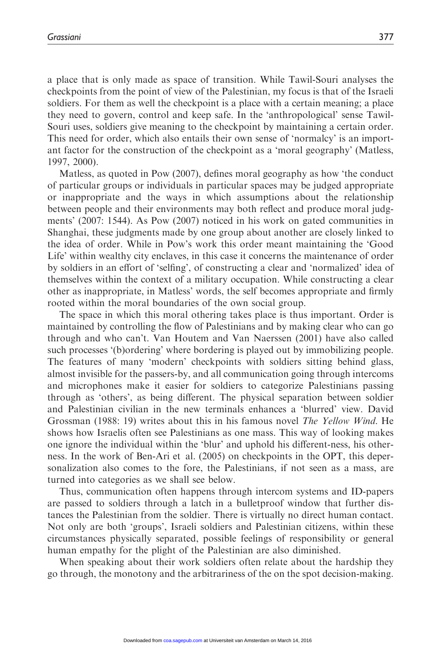a place that is only made as space of transition. While Tawil-Souri analyses the checkpoints from the point of view of the Palestinian, my focus is that of the Israeli soldiers. For them as well the checkpoint is a place with a certain meaning; a place they need to govern, control and keep safe. In the 'anthropological' sense Tawil-Souri uses, soldiers give meaning to the checkpoint by maintaining a certain order. This need for order, which also entails their own sense of 'normalcy' is an important factor for the construction of the checkpoint as a 'moral geography' (Matless, 1997, 2000).

Matless, as quoted in Pow (2007), defines moral geography as how 'the conduct of particular groups or individuals in particular spaces may be judged appropriate or inappropriate and the ways in which assumptions about the relationship between people and their environments may both reflect and produce moral judgments' (2007: 1544). As Pow (2007) noticed in his work on gated communities in Shanghai, these judgments made by one group about another are closely linked to the idea of order. While in Pow's work this order meant maintaining the 'Good Life' within wealthy city enclaves, in this case it concerns the maintenance of order by soldiers in an effort of 'selfing', of constructing a clear and 'normalized' idea of themselves within the context of a military occupation. While constructing a clear other as inappropriate, in Matless' words, the self becomes appropriate and firmly rooted within the moral boundaries of the own social group.

The space in which this moral othering takes place is thus important. Order is maintained by controlling the flow of Palestinians and by making clear who can go through and who can't. Van Houtem and Van Naerssen (2001) have also called such processes '(b)ordering' where bordering is played out by immobilizing people. The features of many 'modern' checkpoints with soldiers sitting behind glass, almost invisible for the passers-by, and all communication going through intercoms and microphones make it easier for soldiers to categorize Palestinians passing through as 'others', as being different. The physical separation between soldier and Palestinian civilian in the new terminals enhances a 'blurred' view. David Grossman (1988: 19) writes about this in his famous novel The Yellow Wind. He shows how Israelis often see Palestinians as one mass. This way of looking makes one ignore the individual within the 'blur' and uphold his different-ness, his otherness. In the work of Ben-Ari et al. (2005) on checkpoints in the OPT, this depersonalization also comes to the fore, the Palestinians, if not seen as a mass, are turned into categories as we shall see below.

Thus, communication often happens through intercom systems and ID-papers are passed to soldiers through a latch in a bulletproof window that further distances the Palestinian from the soldier. There is virtually no direct human contact. Not only are both 'groups', Israeli soldiers and Palestinian citizens, within these circumstances physically separated, possible feelings of responsibility or general human empathy for the plight of the Palestinian are also diminished.

When speaking about their work soldiers often relate about the hardship they go through, the monotony and the arbitrariness of the on the spot decision-making.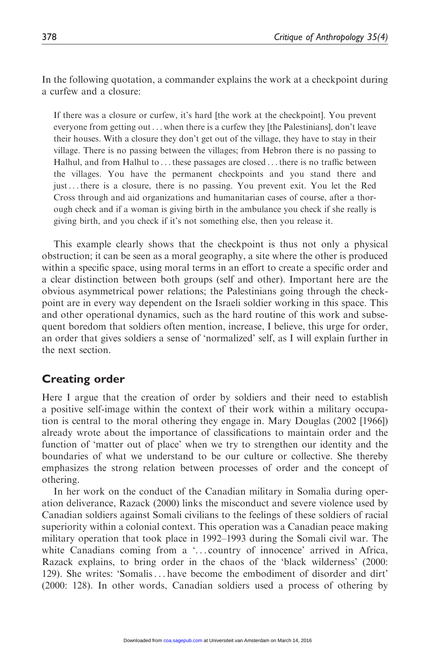In the following quotation, a commander explains the work at a checkpoint during a curfew and a closure:

If there was a closure or curfew, it's hard [the work at the checkpoint]. You prevent everyone from getting out... when there is a curfew they [the Palestinians], don't leave their houses. With a closure they don't get out of the village, they have to stay in their village. There is no passing between the villages; from Hebron there is no passing to Halhul, and from Halhul to ... these passages are closed ...there is no traffic between the villages. You have the permanent checkpoints and you stand there and just ... there is a closure, there is no passing. You prevent exit. You let the Red Cross through and aid organizations and humanitarian cases of course, after a thorough check and if a woman is giving birth in the ambulance you check if she really is giving birth, and you check if it's not something else, then you release it.

This example clearly shows that the checkpoint is thus not only a physical obstruction; it can be seen as a moral geography, a site where the other is produced within a specific space, using moral terms in an effort to create a specific order and a clear distinction between both groups (self and other). Important here are the obvious asymmetrical power relations; the Palestinians going through the checkpoint are in every way dependent on the Israeli soldier working in this space. This and other operational dynamics, such as the hard routine of this work and subsequent boredom that soldiers often mention, increase, I believe, this urge for order, an order that gives soldiers a sense of 'normalized' self, as I will explain further in the next section.

# Creating order

Here I argue that the creation of order by soldiers and their need to establish a positive self-image within the context of their work within a military occupation is central to the moral othering they engage in. Mary Douglas (2002 [1966]) already wrote about the importance of classifications to maintain order and the function of 'matter out of place' when we try to strengthen our identity and the boundaries of what we understand to be our culture or collective. She thereby emphasizes the strong relation between processes of order and the concept of othering.

In her work on the conduct of the Canadian military in Somalia during operation deliverance, Razack (2000) links the misconduct and severe violence used by Canadian soldiers against Somali civilians to the feelings of these soldiers of racial superiority within a colonial context. This operation was a Canadian peace making military operation that took place in 1992–1993 during the Somali civil war. The white Canadians coming from a '... country of innocence' arrived in Africa, Razack explains, to bring order in the chaos of the 'black wilderness' (2000: 129). She writes: 'Somalis... have become the embodiment of disorder and dirt' (2000: 128). In other words, Canadian soldiers used a process of othering by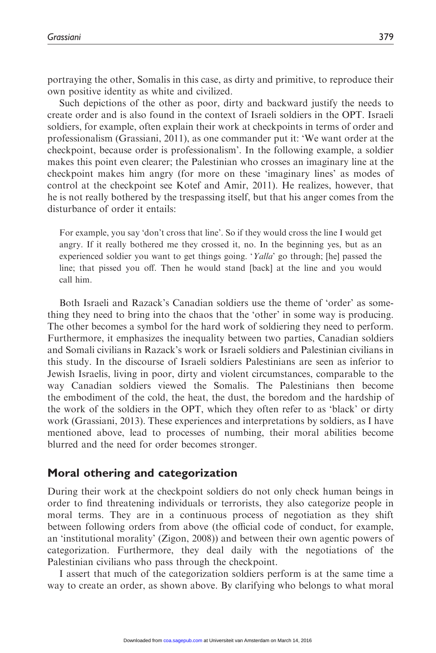portraying the other, Somalis in this case, as dirty and primitive, to reproduce their own positive identity as white and civilized.

Such depictions of the other as poor, dirty and backward justify the needs to create order and is also found in the context of Israeli soldiers in the OPT. Israeli soldiers, for example, often explain their work at checkpoints in terms of order and professionalism (Grassiani, 2011), as one commander put it: 'We want order at the checkpoint, because order is professionalism'. In the following example, a soldier makes this point even clearer; the Palestinian who crosses an imaginary line at the checkpoint makes him angry (for more on these 'imaginary lines' as modes of control at the checkpoint see Kotef and Amir, 2011). He realizes, however, that he is not really bothered by the trespassing itself, but that his anger comes from the disturbance of order it entails:

For example, you say 'don't cross that line'. So if they would cross the line I would get angry. If it really bothered me they crossed it, no. In the beginning yes, but as an experienced soldier you want to get things going. 'Yalla' go through; [he] passed the line; that pissed you off. Then he would stand [back] at the line and you would call him.

Both Israeli and Razack's Canadian soldiers use the theme of 'order' as something they need to bring into the chaos that the 'other' in some way is producing. The other becomes a symbol for the hard work of soldiering they need to perform. Furthermore, it emphasizes the inequality between two parties, Canadian soldiers and Somali civilians in Razack's work or Israeli soldiers and Palestinian civilians in this study. In the discourse of Israeli soldiers Palestinians are seen as inferior to Jewish Israelis, living in poor, dirty and violent circumstances, comparable to the way Canadian soldiers viewed the Somalis. The Palestinians then become the embodiment of the cold, the heat, the dust, the boredom and the hardship of the work of the soldiers in the OPT, which they often refer to as 'black' or dirty work (Grassiani, 2013). These experiences and interpretations by soldiers, as I have mentioned above, lead to processes of numbing, their moral abilities become blurred and the need for order becomes stronger.

### Moral othering and categorization

During their work at the checkpoint soldiers do not only check human beings in order to find threatening individuals or terrorists, they also categorize people in moral terms. They are in a continuous process of negotiation as they shift between following orders from above (the official code of conduct, for example, an 'institutional morality' (Zigon, 2008)) and between their own agentic powers of categorization. Furthermore, they deal daily with the negotiations of the Palestinian civilians who pass through the checkpoint.

I assert that much of the categorization soldiers perform is at the same time a way to create an order, as shown above. By clarifying who belongs to what moral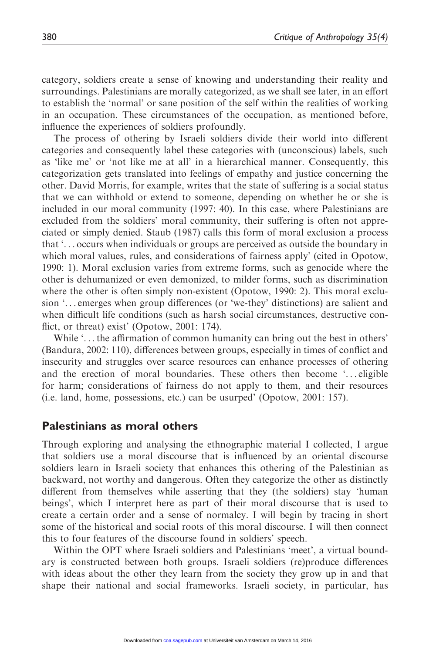category, soldiers create a sense of knowing and understanding their reality and surroundings. Palestinians are morally categorized, as we shall see later, in an effort to establish the 'normal' or sane position of the self within the realities of working in an occupation. These circumstances of the occupation, as mentioned before, influence the experiences of soldiers profoundly.

The process of othering by Israeli soldiers divide their world into different categories and consequently label these categories with (unconscious) labels, such as 'like me' or 'not like me at all' in a hierarchical manner. Consequently, this categorization gets translated into feelings of empathy and justice concerning the other. David Morris, for example, writes that the state of suffering is a social status that we can withhold or extend to someone, depending on whether he or she is included in our moral community (1997: 40). In this case, where Palestinians are excluded from the soldiers' moral community, their suffering is often not appreciated or simply denied. Staub (1987) calls this form of moral exclusion a process that '... occurs when individuals or groups are perceived as outside the boundary in which moral values, rules, and considerations of fairness apply' (cited in Opotow, 1990: 1). Moral exclusion varies from extreme forms, such as genocide where the other is dehumanized or even demonized, to milder forms, such as discrimination where the other is often simply non-existent (Opotow, 1990: 2). This moral exclusion '... emerges when group differences (or 'we-they' distinctions) are salient and when difficult life conditions (such as harsh social circumstances, destructive conflict, or threat) exist' (Opotow, 2001: 174).

While '... the affirmation of common humanity can bring out the best in others' (Bandura, 2002: 110), differences between groups, especially in times of conflict and insecurity and struggles over scarce resources can enhance processes of othering and the erection of moral boundaries. These others then become '... eligible for harm; considerations of fairness do not apply to them, and their resources (i.e. land, home, possessions, etc.) can be usurped' (Opotow, 2001: 157).

#### Palestinians as moral others

Through exploring and analysing the ethnographic material I collected, I argue that soldiers use a moral discourse that is influenced by an oriental discourse soldiers learn in Israeli society that enhances this othering of the Palestinian as backward, not worthy and dangerous. Often they categorize the other as distinctly different from themselves while asserting that they (the soldiers) stay 'human beings', which I interpret here as part of their moral discourse that is used to create a certain order and a sense of normalcy. I will begin by tracing in short some of the historical and social roots of this moral discourse. I will then connect this to four features of the discourse found in soldiers' speech.

Within the OPT where Israeli soldiers and Palestinians 'meet', a virtual boundary is constructed between both groups. Israeli soldiers (re)produce differences with ideas about the other they learn from the society they grow up in and that shape their national and social frameworks. Israeli society, in particular, has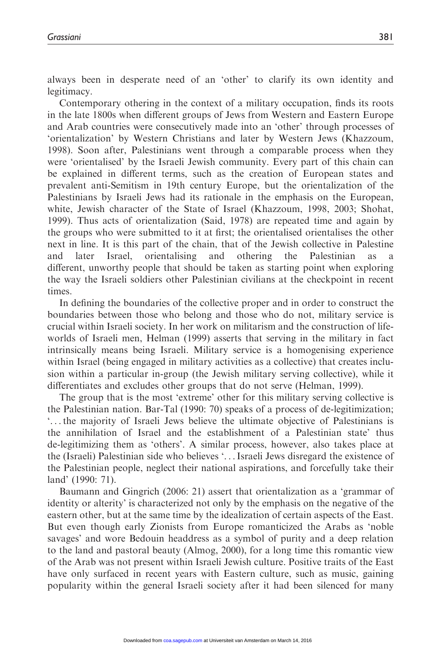always been in desperate need of an 'other' to clarify its own identity and legitimacy.

Contemporary othering in the context of a military occupation, finds its roots in the late 1800s when different groups of Jews from Western and Eastern Europe and Arab countries were consecutively made into an 'other' through processes of 'orientalization' by Western Christians and later by Western Jews (Khazzoum, 1998). Soon after, Palestinians went through a comparable process when they were 'orientalised' by the Israeli Jewish community. Every part of this chain can be explained in different terms, such as the creation of European states and prevalent anti-Semitism in 19th century Europe, but the orientalization of the Palestinians by Israeli Jews had its rationale in the emphasis on the European, white, Jewish character of the State of Israel (Khazzoum, 1998, 2003; Shohat, 1999). Thus acts of orientalization (Said, 1978) are repeated time and again by the groups who were submitted to it at first; the orientalised orientalises the other next in line. It is this part of the chain, that of the Jewish collective in Palestine and later Israel, orientalising and othering the Palestinian different, unworthy people that should be taken as starting point when exploring the way the Israeli soldiers other Palestinian civilians at the checkpoint in recent times.

In defining the boundaries of the collective proper and in order to construct the boundaries between those who belong and those who do not, military service is crucial within Israeli society. In her work on militarism and the construction of lifeworlds of Israeli men, Helman (1999) asserts that serving in the military in fact intrinsically means being Israeli. Military service is a homogenising experience within Israel (being engaged in military activities as a collective) that creates inclusion within a particular in-group (the Jewish military serving collective), while it differentiates and excludes other groups that do not serve (Helman, 1999).

The group that is the most 'extreme' other for this military serving collective is the Palestinian nation. Bar-Tal (1990: 70) speaks of a process of de-legitimization; '... the majority of Israeli Jews believe the ultimate objective of Palestinians is the annihilation of Israel and the establishment of a Palestinian state' thus de-legitimizing them as 'others'. A similar process, however, also takes place at the (Israeli) Palestinian side who believes '...Israeli Jews disregard the existence of the Palestinian people, neglect their national aspirations, and forcefully take their land' (1990: 71).

Baumann and Gingrich (2006: 21) assert that orientalization as a 'grammar of identity or alterity' is characterized not only by the emphasis on the negative of the eastern other, but at the same time by the idealization of certain aspects of the East. But even though early Zionists from Europe romanticized the Arabs as 'noble savages' and wore Bedouin headdress as a symbol of purity and a deep relation to the land and pastoral beauty (Almog, 2000), for a long time this romantic view of the Arab was not present within Israeli Jewish culture. Positive traits of the East have only surfaced in recent years with Eastern culture, such as music, gaining popularity within the general Israeli society after it had been silenced for many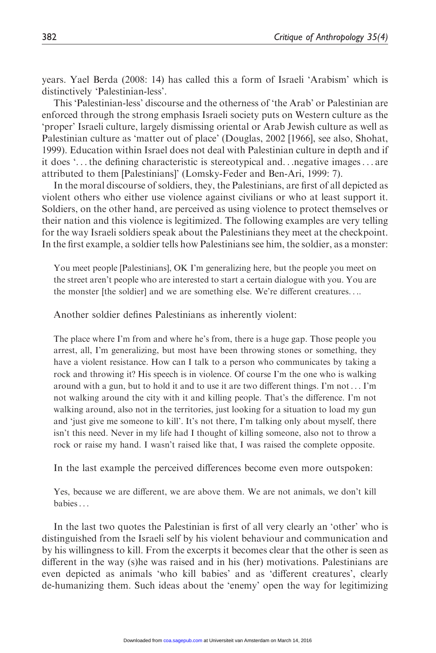years. Yael Berda (2008: 14) has called this a form of Israeli 'Arabism' which is distinctively 'Palestinian-less'.

This 'Palestinian-less' discourse and the otherness of 'the Arab' or Palestinian are enforced through the strong emphasis Israeli society puts on Western culture as the 'proper' Israeli culture, largely dismissing oriental or Arab Jewish culture as well as Palestinian culture as 'matter out of place' (Douglas, 2002 [1966], see also, Shohat, 1999). Education within Israel does not deal with Palestinian culture in depth and if it does '... the defining characteristic is stereotypical and...negative images... are attributed to them [Palestinians]' (Lomsky-Feder and Ben-Ari, 1999: 7).

In the moral discourse of soldiers, they, the Palestinians, are first of all depicted as violent others who either use violence against civilians or who at least support it. Soldiers, on the other hand, are perceived as using violence to protect themselves or their nation and this violence is legitimized. The following examples are very telling for the way Israeli soldiers speak about the Palestinians they meet at the checkpoint. In the first example, a soldier tells how Palestinians see him, the soldier, as a monster:

You meet people [Palestinians], OK I'm generalizing here, but the people you meet on the street aren't people who are interested to start a certain dialogue with you. You are the monster [the soldier] and we are something else. We're different creatures....

Another soldier defines Palestinians as inherently violent:

The place where I'm from and where he's from, there is a huge gap. Those people you arrest, all, I'm generalizing, but most have been throwing stones or something, they have a violent resistance. How can I talk to a person who communicates by taking a rock and throwing it? His speech is in violence. Of course I'm the one who is walking around with a gun, but to hold it and to use it are two different things. I'm not ... I'm not walking around the city with it and killing people. That's the difference. I'm not walking around, also not in the territories, just looking for a situation to load my gun and 'just give me someone to kill'. It's not there, I'm talking only about myself, there isn't this need. Never in my life had I thought of killing someone, also not to throw a rock or raise my hand. I wasn't raised like that, I was raised the complete opposite.

In the last example the perceived differences become even more outspoken:

Yes, because we are different, we are above them. We are not animals, we don't kill babies...

In the last two quotes the Palestinian is first of all very clearly an 'other' who is distinguished from the Israeli self by his violent behaviour and communication and by his willingness to kill. From the excerpts it becomes clear that the other is seen as different in the way (s)he was raised and in his (her) motivations. Palestinians are even depicted as animals 'who kill babies' and as 'different creatures', clearly de-humanizing them. Such ideas about the 'enemy' open the way for legitimizing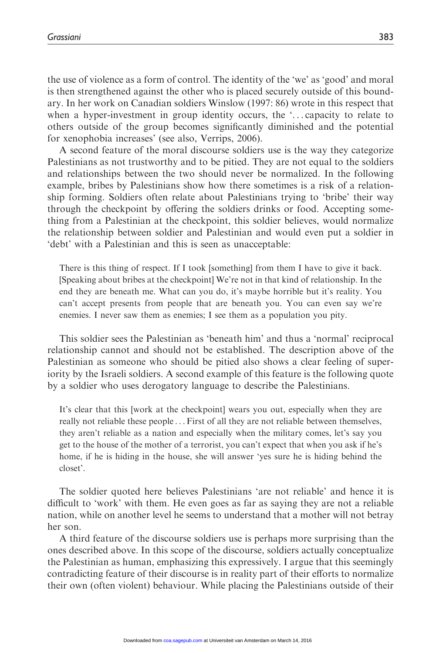the use of violence as a form of control. The identity of the 'we' as 'good' and moral is then strengthened against the other who is placed securely outside of this boundary. In her work on Canadian soldiers Winslow (1997: 86) wrote in this respect that when a hyper-investment in group identity occurs, the '... capacity to relate to others outside of the group becomes significantly diminished and the potential for xenophobia increases' (see also, Verrips, 2006).

A second feature of the moral discourse soldiers use is the way they categorize Palestinians as not trustworthy and to be pitied. They are not equal to the soldiers and relationships between the two should never be normalized. In the following example, bribes by Palestinians show how there sometimes is a risk of a relationship forming. Soldiers often relate about Palestinians trying to 'bribe' their way through the checkpoint by offering the soldiers drinks or food. Accepting something from a Palestinian at the checkpoint, this soldier believes, would normalize the relationship between soldier and Palestinian and would even put a soldier in 'debt' with a Palestinian and this is seen as unacceptable:

There is this thing of respect. If I took [something] from them I have to give it back. [Speaking about bribes at the checkpoint] We're not in that kind of relationship. In the end they are beneath me. What can you do, it's maybe horrible but it's reality. You can't accept presents from people that are beneath you. You can even say we're enemies. I never saw them as enemies; I see them as a population you pity.

This soldier sees the Palestinian as 'beneath him' and thus a 'normal' reciprocal relationship cannot and should not be established. The description above of the Palestinian as someone who should be pitied also shows a clear feeling of superiority by the Israeli soldiers. A second example of this feature is the following quote by a soldier who uses derogatory language to describe the Palestinians.

It's clear that this [work at the checkpoint] wears you out, especially when they are really not reliable these people ...First of all they are not reliable between themselves, they aren't reliable as a nation and especially when the military comes, let's say you get to the house of the mother of a terrorist, you can't expect that when you ask if he's home, if he is hiding in the house, she will answer 'yes sure he is hiding behind the closet'.

The soldier quoted here believes Palestinians 'are not reliable' and hence it is difficult to 'work' with them. He even goes as far as saying they are not a reliable nation, while on another level he seems to understand that a mother will not betray her son.

A third feature of the discourse soldiers use is perhaps more surprising than the ones described above. In this scope of the discourse, soldiers actually conceptualize the Palestinian as human, emphasizing this expressively. I argue that this seemingly contradicting feature of their discourse is in reality part of their efforts to normalize their own (often violent) behaviour. While placing the Palestinians outside of their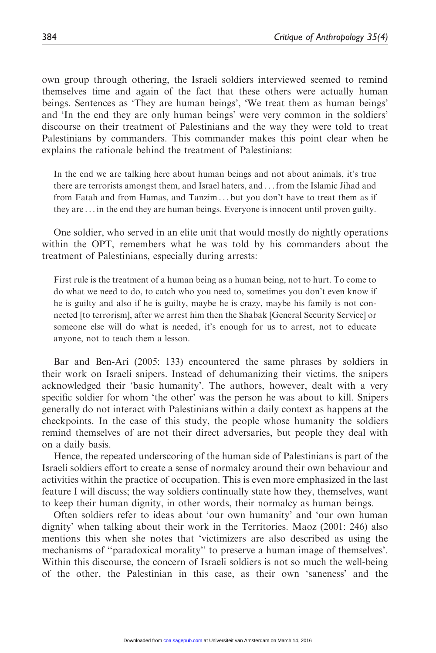own group through othering, the Israeli soldiers interviewed seemed to remind themselves time and again of the fact that these others were actually human beings. Sentences as 'They are human beings', 'We treat them as human beings' and 'In the end they are only human beings' were very common in the soldiers' discourse on their treatment of Palestinians and the way they were told to treat Palestinians by commanders. This commander makes this point clear when he explains the rationale behind the treatment of Palestinians:

In the end we are talking here about human beings and not about animals, it's true there are terrorists amongst them, and Israel haters, and ...from the Islamic Jihad and from Fatah and from Hamas, and Tanzim ... but you don't have to treat them as if they are ... in the end they are human beings. Everyone is innocent until proven guilty.

One soldier, who served in an elite unit that would mostly do nightly operations within the OPT, remembers what he was told by his commanders about the treatment of Palestinians, especially during arrests:

First rule is the treatment of a human being as a human being, not to hurt. To come to do what we need to do, to catch who you need to, sometimes you don't even know if he is guilty and also if he is guilty, maybe he is crazy, maybe his family is not connected [to terrorism], after we arrest him then the Shabak [General Security Service] or someone else will do what is needed, it's enough for us to arrest, not to educate anyone, not to teach them a lesson.

Bar and Ben-Ari (2005: 133) encountered the same phrases by soldiers in their work on Israeli snipers. Instead of dehumanizing their victims, the snipers acknowledged their 'basic humanity'. The authors, however, dealt with a very specific soldier for whom 'the other' was the person he was about to kill. Snipers generally do not interact with Palestinians within a daily context as happens at the checkpoints. In the case of this study, the people whose humanity the soldiers remind themselves of are not their direct adversaries, but people they deal with on a daily basis.

Hence, the repeated underscoring of the human side of Palestinians is part of the Israeli soldiers effort to create a sense of normalcy around their own behaviour and activities within the practice of occupation. This is even more emphasized in the last feature I will discuss; the way soldiers continually state how they, themselves, want to keep their human dignity, in other words, their normalcy as human beings.

Often soldiers refer to ideas about 'our own humanity' and 'our own human dignity' when talking about their work in the Territories. Maoz (2001: 246) also mentions this when she notes that 'victimizers are also described as using the mechanisms of ''paradoxical morality'' to preserve a human image of themselves'. Within this discourse, the concern of Israeli soldiers is not so much the well-being of the other, the Palestinian in this case, as their own 'saneness' and the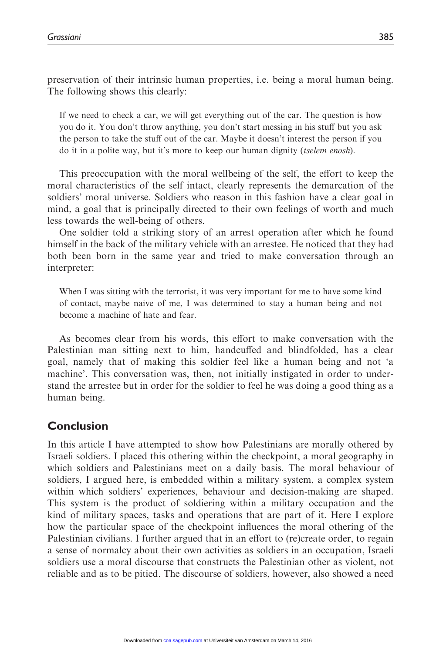preservation of their intrinsic human properties, i.e. being a moral human being. The following shows this clearly:

If we need to check a car, we will get everything out of the car. The question is how you do it. You don't throw anything, you don't start messing in his stuff but you ask the person to take the stuff out of the car. Maybe it doesn't interest the person if you do it in a polite way, but it's more to keep our human dignity (tselem enosh).

This preoccupation with the moral wellbeing of the self, the effort to keep the moral characteristics of the self intact, clearly represents the demarcation of the soldiers' moral universe. Soldiers who reason in this fashion have a clear goal in mind, a goal that is principally directed to their own feelings of worth and much less towards the well-being of others.

One soldier told a striking story of an arrest operation after which he found himself in the back of the military vehicle with an arrestee. He noticed that they had both been born in the same year and tried to make conversation through an interpreter:

When I was sitting with the terrorist, it was very important for me to have some kind of contact, maybe naive of me, I was determined to stay a human being and not become a machine of hate and fear.

As becomes clear from his words, this effort to make conversation with the Palestinian man sitting next to him, handcuffed and blindfolded, has a clear goal, namely that of making this soldier feel like a human being and not 'a machine'. This conversation was, then, not initially instigated in order to understand the arrestee but in order for the soldier to feel he was doing a good thing as a human being.

# Conclusion

In this article I have attempted to show how Palestinians are morally othered by Israeli soldiers. I placed this othering within the checkpoint, a moral geography in which soldiers and Palestinians meet on a daily basis. The moral behaviour of soldiers, I argued here, is embedded within a military system, a complex system within which soldiers' experiences, behaviour and decision-making are shaped. This system is the product of soldiering within a military occupation and the kind of military spaces, tasks and operations that are part of it. Here I explore how the particular space of the checkpoint influences the moral othering of the Palestinian civilians. I further argued that in an effort to (re)create order, to regain a sense of normalcy about their own activities as soldiers in an occupation, Israeli soldiers use a moral discourse that constructs the Palestinian other as violent, not reliable and as to be pitied. The discourse of soldiers, however, also showed a need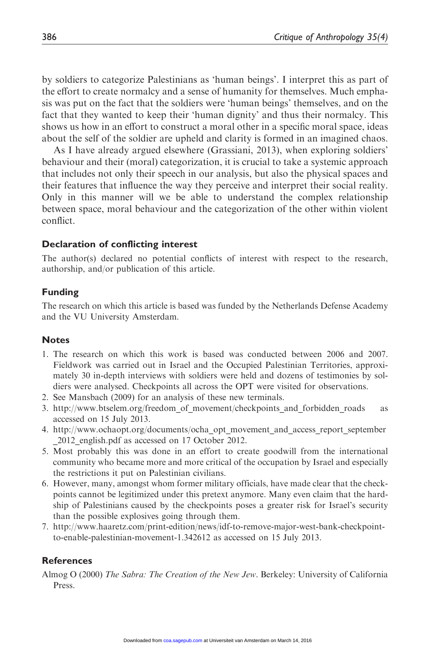by soldiers to categorize Palestinians as 'human beings'. I interpret this as part of the effort to create normalcy and a sense of humanity for themselves. Much emphasis was put on the fact that the soldiers were 'human beings' themselves, and on the fact that they wanted to keep their 'human dignity' and thus their normalcy. This shows us how in an effort to construct a moral other in a specific moral space, ideas about the self of the soldier are upheld and clarity is formed in an imagined chaos.

As I have already argued elsewhere (Grassiani, 2013), when exploring soldiers' behaviour and their (moral) categorization, it is crucial to take a systemic approach that includes not only their speech in our analysis, but also the physical spaces and their features that influence the way they perceive and interpret their social reality. Only in this manner will we be able to understand the complex relationship between space, moral behaviour and the categorization of the other within violent conflict.

#### Declaration of conflicting interest

The author(s) declared no potential conflicts of interest with respect to the research, authorship, and/or publication of this article.

#### Funding

The research on which this article is based was funded by the Netherlands Defense Academy and the VU University Amsterdam.

#### **Notes**

- 1. The research on which this work is based was conducted between 2006 and 2007. Fieldwork was carried out in Israel and the Occupied Palestinian Territories, approximately 30 in-depth interviews with soldiers were held and dozens of testimonies by soldiers were analysed. Checkpoints all across the OPT were visited for observations.
- 2. See Mansbach (2009) for an analysis of these new terminals.
- 3. [http://www.btselem.org/freedom\\_of\\_movement/checkpoints\\_and\\_forbidden\\_roads](http://www.btselem.org/freedom_of_movement/checkpoints_and_forbidden_roads) as accessed on 15 July 2013.
- 4. [http://www.ochaopt.org/documents/ocha\\_opt\\_movement\\_and\\_access\\_report\\_september](http://www.ochaopt.org/documents/ocha_opt_movement_and_access_report_september_2012_english.pdf) [\\_2012\\_english.pdf](http://www.ochaopt.org/documents/ocha_opt_movement_and_access_report_september_2012_english.pdf) as accessed on 17 October 2012.
- 5. Most probably this was done in an effort to create goodwill from the international community who became more and more critical of the occupation by Israel and especially the restrictions it put on Palestinian civilians.
- 6. However, many, amongst whom former military officials, have made clear that the checkpoints cannot be legitimized under this pretext anymore. Many even claim that the hardship of Palestinians caused by the checkpoints poses a greater risk for Israel's security than the possible explosives going through them.
- 7. [http://www.haaretz.com/print-edition/news/idf-to-remove-major-west-bank-checkpoint](http://www.haaretz.com/print-edition/news/idf-to-remove-major-west-bank-checkpoint-to-enable-palestinian-movement-1.342612)[to-enable-palestinian-movement-1.342612](http://www.haaretz.com/print-edition/news/idf-to-remove-major-west-bank-checkpoint-to-enable-palestinian-movement-1.342612) as accessed on 15 July 2013.

#### **References**

Almog O (2000) The Sabra: The Creation of the New Jew. Berkeley: University of California Press.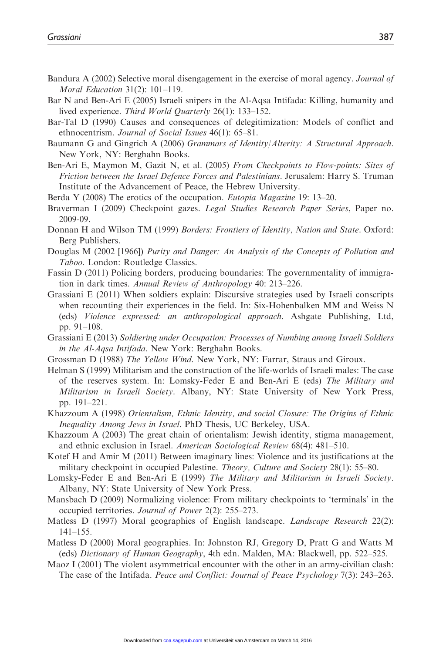- Bandura A (2002) Selective moral disengagement in the exercise of moral agency. Journal of Moral Education 31(2): 101–119.
- Bar N and Ben-Ari E (2005) Israeli snipers in the Al-Aqsa Intifada: Killing, humanity and lived experience. Third World Quarterly 26(1): 133-152.
- Bar-Tal D (1990) Causes and consequences of delegitimization: Models of conflict and ethnocentrism. Journal of Social Issues 46(1): 65–81.
- Baumann G and Gingrich A (2006) Grammars of Identity/Alterity: A Structural Approach. New York, NY: Berghahn Books.
- Ben-Ari E, Maymon M, Gazit N, et al. (2005) From Checkpoints to Flow-points: Sites of Friction between the Israel Defence Forces and Palestinians. Jerusalem: Harry S. Truman Institute of the Advancement of Peace, the Hebrew University.
- Berda Y (2008) The erotics of the occupation. Eutopia Magazine 19: 13–20.
- Braverman I (2009) Checkpoint gazes. Legal Studies Research Paper Series, Paper no. 2009-09.
- Donnan H and Wilson TM (1999) Borders: Frontiers of Identity, Nation and State. Oxford: Berg Publishers.
- Douglas M (2002 [1966]) Purity and Danger: An Analysis of the Concepts of Pollution and Taboo. London: Routledge Classics.
- Fassin D (2011) Policing borders, producing boundaries: The governmentality of immigration in dark times. Annual Review of Anthropology 40: 213–226.
- Grassiani E (2011) When soldiers explain: Discursive strategies used by Israeli conscripts when recounting their experiences in the field. In: Six-Hohenbalken MM and Weiss N (eds) Violence expressed: an anthropological approach. Ashgate Publishing, Ltd, pp. 91–108.
- Grassiani E (2013) Soldiering under Occupation: Processes of Numbing among Israeli Soldiers in the Al-Aqsa Intifada. New York: Berghahn Books.
- Grossman D (1988) The Yellow Wind. New York, NY: Farrar, Straus and Giroux.
- Helman S (1999) Militarism and the construction of the life-worlds of Israeli males: The case of the reserves system. In: Lomsky-Feder E and Ben-Ari E (eds) The Military and Militarism in Israeli Society. Albany, NY: State University of New York Press, pp. 191–221.
- Khazzoum A (1998) Orientalism, Ethnic Identity, and social Closure: The Origins of Ethnic Inequality Among Jews in Israel. PhD Thesis, UC Berkeley, USA.
- Khazzoum A (2003) The great chain of orientalism: Jewish identity, stigma management, and ethnic exclusion in Israel. American Sociological Review 68(4): 481–510.
- Kotef H and Amir M (2011) Between imaginary lines: Violence and its justifications at the military checkpoint in occupied Palestine. *Theory, Culture and Society*  $28(1)$ : 55–80.
- Lomsky-Feder E and Ben-Ari E (1999) The Military and Militarism in Israeli Society. Albany, NY: State University of New York Press.
- Mansbach D (2009) Normalizing violence: From military checkpoints to 'terminals' in the occupied territories. Journal of Power 2(2): 255–273.
- Matless D (1997) Moral geographies of English landscape. *Landscape Research* 22(2): 141–155.
- Matless D (2000) Moral geographies. In: Johnston RJ, Gregory D, Pratt G and Watts M (eds) Dictionary of Human Geography, 4th edn. Malden, MA: Blackwell, pp. 522–525.
- Maoz I (2001) The violent asymmetrical encounter with the other in an army-civilian clash: The case of the Intifada. Peace and Conflict: Journal of Peace Psychology 7(3): 243–263.